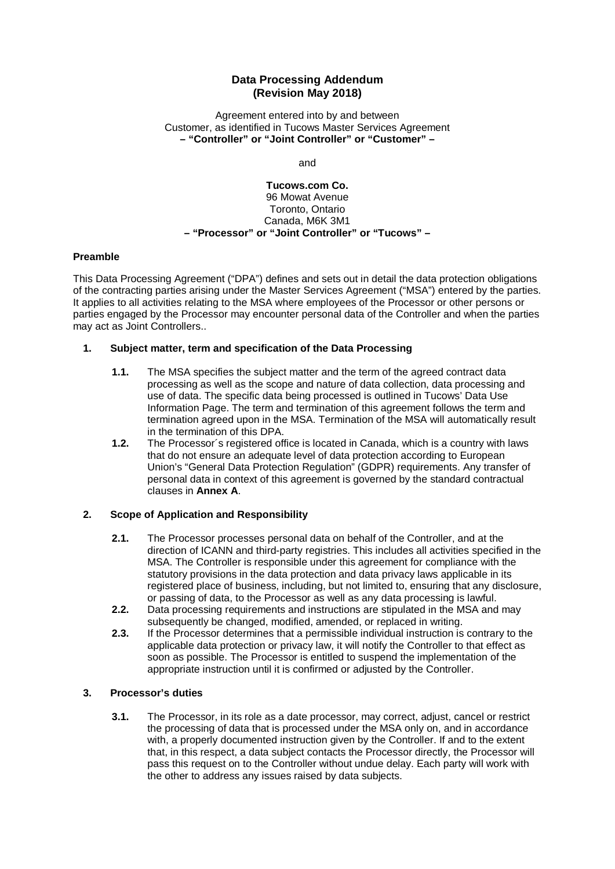# **Data Processing Addendum (Revision May 2018)**

Agreement entered into by and between Customer, as identified in Tucows Master Services Agreement **– "Controller" or "Joint Controller" or "Customer" –**

and

### **Tucows.com Co.** 96 Mowat Avenue Toronto, Ontario Canada, M6K 3M1 **– "Processor" or "Joint Controller" or "Tucows" –**

### **Preamble**

This Data Processing Agreement ("DPA") defines and sets out in detail the data protection obligations of the contracting parties arising under the Master Services Agreement ("MSA") entered by the parties. It applies to all activities relating to the MSA where employees of the Processor or other persons or parties engaged by the Processor may encounter personal data of the Controller and when the parties may act as Joint Controllers..

### **1. Subject matter, term and specification of the Data Processing**

- **1.1.** The MSA specifies the subject matter and the term of the agreed contract data processing as well as the scope and nature of data collection, data processing and use of data. The specific data being processed is outlined in Tucows' Data Use Information Page. The term and termination of this agreement follows the term and termination agreed upon in the MSA. Termination of the MSA will automatically result in the termination of this DPA.
- **1.2.** The Processor´s registered office is located in Canada, which is a country with laws that do not ensure an adequate level of data protection according to European Union's "General Data Protection Regulation" (GDPR) requirements. Any transfer of personal data in context of this agreement is governed by the standard contractual clauses in **Annex A**.

# **2. Scope of Application and Responsibility**

- **2.1.** The Processor processes personal data on behalf of the Controller, and at the direction of ICANN and third-party registries. This includes all activities specified in the MSA. The Controller is responsible under this agreement for compliance with the statutory provisions in the data protection and data privacy laws applicable in its registered place of business, including, but not limited to, ensuring that any disclosure, or passing of data, to the Processor as well as any data processing is lawful.
- **2.2.** Data processing requirements and instructions are stipulated in the MSA and may subsequently be changed, modified, amended, or replaced in writing.
- **2.3.** If the Processor determines that a permissible individual instruction is contrary to the applicable data protection or privacy law, it will notify the Controller to that effect as soon as possible. The Processor is entitled to suspend the implementation of the appropriate instruction until it is confirmed or adjusted by the Controller.

#### **3. Processor's duties**

**3.1.** The Processor, in its role as a date processor, may correct, adjust, cancel or restrict the processing of data that is processed under the MSA only on, and in accordance with, a properly documented instruction given by the Controller. If and to the extent that, in this respect, a data subject contacts the Processor directly, the Processor will pass this request on to the Controller without undue delay. Each party will work with the other to address any issues raised by data subjects.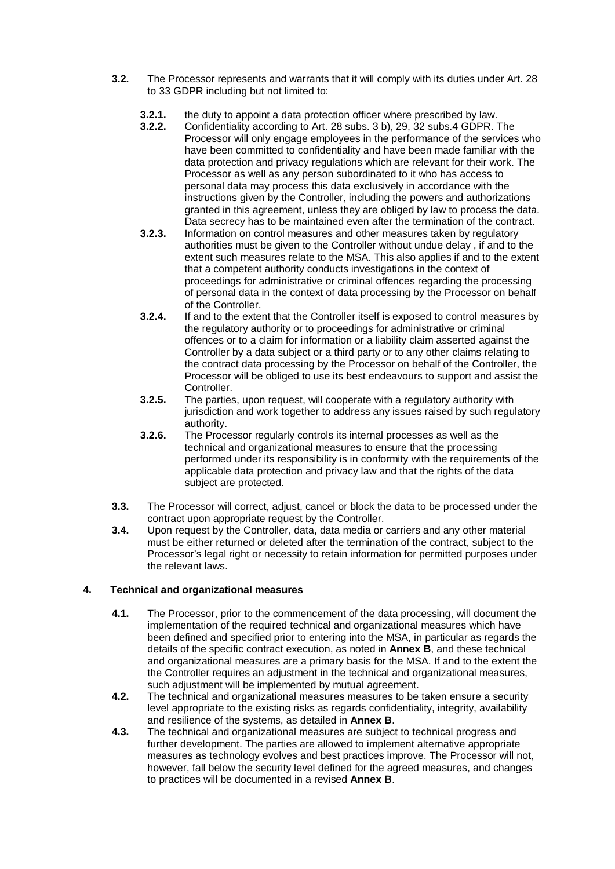- **3.2.** The Processor represents and warrants that it will comply with its duties under Art. 28 to 33 GDPR including but not limited to:
	- **3.2.1.** the duty to appoint a data protection officer where prescribed by law.<br>**3.2.2.** Confidentiality according to Art. 28 subs. 3 b), 29, 32 subs. 4 GDPR.
	- **3.2.2.** Confidentiality according to Art. 28 subs. 3 b), 29, 32 subs.4 GDPR. The Processor will only engage employees in the performance of the services who have been committed to confidentiality and have been made familiar with the data protection and privacy regulations which are relevant for their work. The Processor as well as any person subordinated to it who has access to personal data may process this data exclusively in accordance with the instructions given by the Controller, including the powers and authorizations granted in this agreement, unless they are obliged by law to process the data. Data secrecy has to be maintained even after the termination of the contract.
	- **3.2.3.** Information on control measures and other measures taken by regulatory authorities must be given to the Controller without undue delay , if and to the extent such measures relate to the MSA. This also applies if and to the extent that a competent authority conducts investigations in the context of proceedings for administrative or criminal offences regarding the processing of personal data in the context of data processing by the Processor on behalf of the Controller.
	- **3.2.4.** If and to the extent that the Controller itself is exposed to control measures by the regulatory authority or to proceedings for administrative or criminal offences or to a claim for information or a liability claim asserted against the Controller by a data subject or a third party or to any other claims relating to the contract data processing by the Processor on behalf of the Controller, the Processor will be obliged to use its best endeavours to support and assist the Controller.
	- **3.2.5.** The parties, upon request, will cooperate with a regulatory authority with jurisdiction and work together to address any issues raised by such regulatory authority.
	- **3.2.6.** The Processor regularly controls its internal processes as well as the technical and organizational measures to ensure that the processing performed under its responsibility is in conformity with the requirements of the applicable data protection and privacy law and that the rights of the data subject are protected.
- **3.3.** The Processor will correct, adjust, cancel or block the data to be processed under the contract upon appropriate request by the Controller.
- **3.4.** Upon request by the Controller, data, data media or carriers and any other material must be either returned or deleted after the termination of the contract, subject to the Processor's legal right or necessity to retain information for permitted purposes under the relevant laws.

# **4. Technical and organizational measures**

- **4.1.** The Processor, prior to the commencement of the data processing, will document the implementation of the required technical and organizational measures which have been defined and specified prior to entering into the MSA, in particular as regards the details of the specific contract execution, as noted in **Annex B**, and these technical and organizational measures are a primary basis for the MSA. If and to the extent the the Controller requires an adjustment in the technical and organizational measures, such adjustment will be implemented by mutual agreement.
- **4.2.** The technical and organizational measures measures to be taken ensure a security level appropriate to the existing risks as regards confidentiality, integrity, availability and resilience of the systems, as detailed in **Annex B**.
- **4.3.** The technical and organizational measures are subject to technical progress and further development. The parties are allowed to implement alternative appropriate measures as technology evolves and best practices improve. The Processor will not, however, fall below the security level defined for the agreed measures, and changes to practices will be documented in a revised **Annex B**.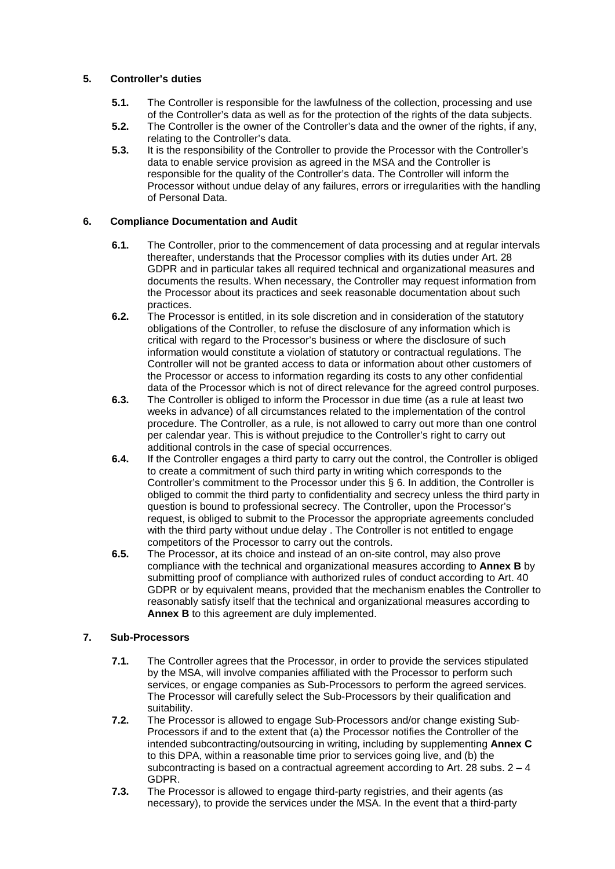# **5. Controller's duties**

- **5.1.** The Controller is responsible for the lawfulness of the collection, processing and use of the Controller's data as well as for the protection of the rights of the data subjects.
- **5.2.** The Controller is the owner of the Controller's data and the owner of the rights, if any, relating to the Controller's data.
- **5.3.** It is the responsibility of the Controller to provide the Processor with the Controller's data to enable service provision as agreed in the MSA and the Controller is responsible for the quality of the Controller's data. The Controller will inform the Processor without undue delay of any failures, errors or irregularities with the handling of Personal Data.

# **6. Compliance Documentation and Audit**

- **6.1.** The Controller, prior to the commencement of data processing and at regular intervals thereafter, understands that the Processor complies with its duties under Art. 28 GDPR and in particular takes all required technical and organizational measures and documents the results. When necessary, the Controller may request information from the Processor about its practices and seek reasonable documentation about such practices.
- **6.2.** The Processor is entitled, in its sole discretion and in consideration of the statutory obligations of the Controller, to refuse the disclosure of any information which is critical with regard to the Processor's business or where the disclosure of such information would constitute a violation of statutory or contractual regulations. The Controller will not be granted access to data or information about other customers of the Processor or access to information regarding its costs to any other confidential data of the Processor which is not of direct relevance for the agreed control purposes.
- **6.3.** The Controller is obliged to inform the Processor in due time (as a rule at least two weeks in advance) of all circumstances related to the implementation of the control procedure. The Controller, as a rule, is not allowed to carry out more than one control per calendar year. This is without prejudice to the Controller's right to carry out additional controls in the case of special occurrences.
- **6.4.** If the Controller engages a third party to carry out the control, the Controller is obliged to create a commitment of such third party in writing which corresponds to the Controller's commitment to the Processor under this § 6. In addition, the Controller is obliged to commit the third party to confidentiality and secrecy unless the third party in question is bound to professional secrecy. The Controller, upon the Processor's request, is obliged to submit to the Processor the appropriate agreements concluded with the third party without undue delay . The Controller is not entitled to engage competitors of the Processor to carry out the controls.
- **6.5.** The Processor, at its choice and instead of an on-site control, may also prove compliance with the technical and organizational measures according to **Annex B** by submitting proof of compliance with authorized rules of conduct according to Art. 40 GDPR or by equivalent means, provided that the mechanism enables the Controller to reasonably satisfy itself that the technical and organizational measures according to **Annex B** to this agreement are duly implemented.

# **7. Sub-Processors**

- **7.1.** The Controller agrees that the Processor, in order to provide the services stipulated by the MSA, will involve companies affiliated with the Processor to perform such services, or engage companies as Sub-Processors to perform the agreed services. The Processor will carefully select the Sub-Processors by their qualification and suitability.
- **7.2.** The Processor is allowed to engage Sub-Processors and/or change existing Sub-Processors if and to the extent that (a) the Processor notifies the Controller of the intended subcontracting/outsourcing in writing, including by supplementing **Annex C**  to this DPA, within a reasonable time prior to services going live, and (b) the subcontracting is based on a contractual agreement according to Art. 28 subs.  $2 - 4$ GDPR.
- **7.3.** The Processor is allowed to engage third-party registries, and their agents (as necessary), to provide the services under the MSA. In the event that a third-party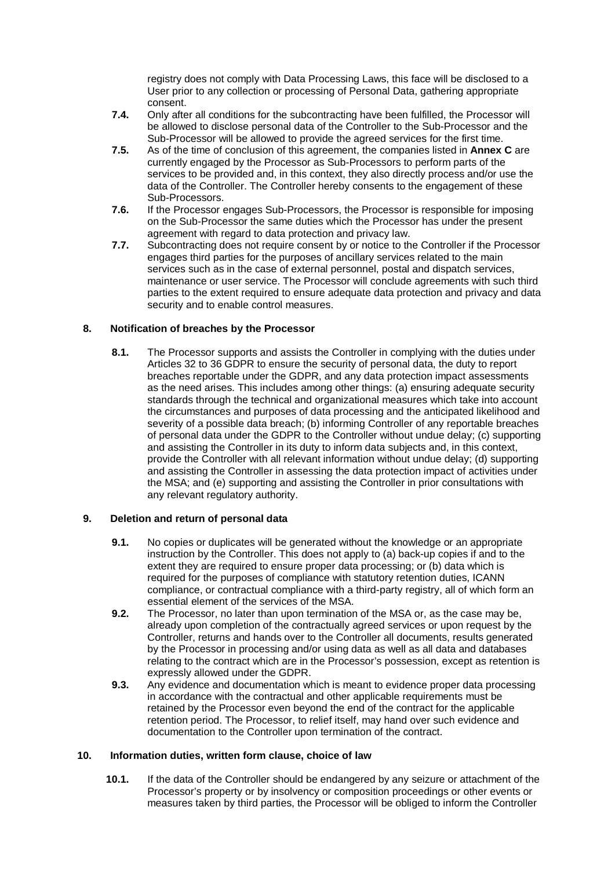registry does not comply with Data Processing Laws, this face will be disclosed to a User prior to any collection or processing of Personal Data, gathering appropriate consent.

- **7.4.** Only after all conditions for the subcontracting have been fulfilled, the Processor will be allowed to disclose personal data of the Controller to the Sub-Processor and the Sub-Processor will be allowed to provide the agreed services for the first time.
- **7.5.** As of the time of conclusion of this agreement, the companies listed in **Annex C** are currently engaged by the Processor as Sub-Processors to perform parts of the services to be provided and, in this context, they also directly process and/or use the data of the Controller. The Controller hereby consents to the engagement of these Sub-Processors.
- **7.6.** If the Processor engages Sub-Processors, the Processor is responsible for imposing on the Sub-Processor the same duties which the Processor has under the present agreement with regard to data protection and privacy law.
- **7.7.** Subcontracting does not require consent by or notice to the Controller if the Processor engages third parties for the purposes of ancillary services related to the main services such as in the case of external personnel, postal and dispatch services, maintenance or user service. The Processor will conclude agreements with such third parties to the extent required to ensure adequate data protection and privacy and data security and to enable control measures.

# **8. Notification of breaches by the Processor**

**8.1.** The Processor supports and assists the Controller in complying with the duties under Articles 32 to 36 GDPR to ensure the security of personal data, the duty to report breaches reportable under the GDPR, and any data protection impact assessments as the need arises. This includes among other things: (a) ensuring adequate security standards through the technical and organizational measures which take into account the circumstances and purposes of data processing and the anticipated likelihood and severity of a possible data breach; (b) informing Controller of any reportable breaches of personal data under the GDPR to the Controller without undue delay; (c) supporting and assisting the Controller in its duty to inform data subjects and, in this context, provide the Controller with all relevant information without undue delay; (d) supporting and assisting the Controller in assessing the data protection impact of activities under the MSA; and (e) supporting and assisting the Controller in prior consultations with any relevant regulatory authority.

# **9. Deletion and return of personal data**

- **9.1.** No copies or duplicates will be generated without the knowledge or an appropriate instruction by the Controller. This does not apply to (a) back-up copies if and to the extent they are required to ensure proper data processing; or (b) data which is required for the purposes of compliance with statutory retention duties, ICANN compliance, or contractual compliance with a third-party registry, all of which form an essential element of the services of the MSA.
- **9.2.** The Processor, no later than upon termination of the MSA or, as the case may be, already upon completion of the contractually agreed services or upon request by the Controller, returns and hands over to the Controller all documents, results generated by the Processor in processing and/or using data as well as all data and databases relating to the contract which are in the Processor's possession, except as retention is expressly allowed under the GDPR.
- **9.3.** Any evidence and documentation which is meant to evidence proper data processing in accordance with the contractual and other applicable requirements must be retained by the Processor even beyond the end of the contract for the applicable retention period. The Processor, to relief itself, may hand over such evidence and documentation to the Controller upon termination of the contract.

# **10. Information duties, written form clause, choice of law**

**10.1.** If the data of the Controller should be endangered by any seizure or attachment of the Processor's property or by insolvency or composition proceedings or other events or measures taken by third parties, the Processor will be obliged to inform the Controller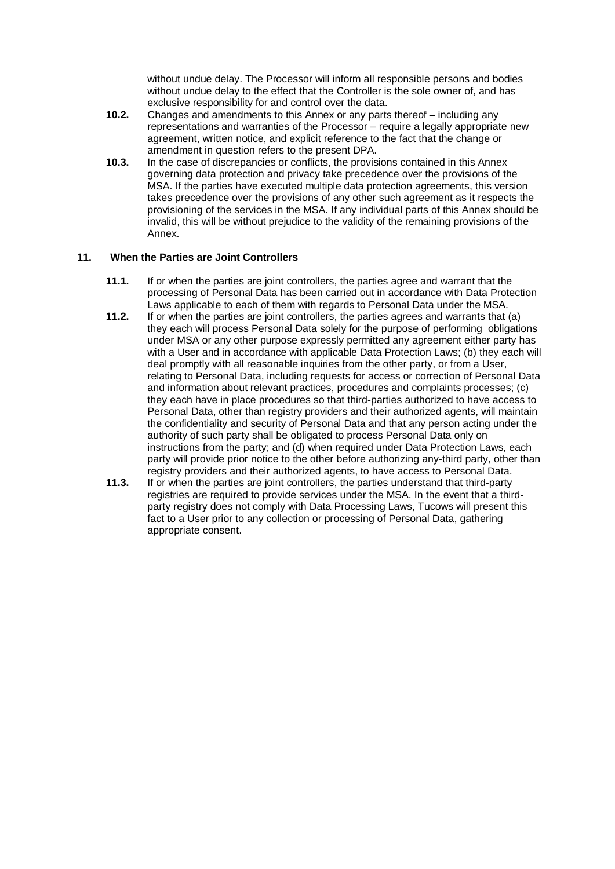without undue delay. The Processor will inform all responsible persons and bodies without undue delay to the effect that the Controller is the sole owner of, and has exclusive responsibility for and control over the data.

- **10.2.** Changes and amendments to this Annex or any parts thereof including any representations and warranties of the Processor – require a legally appropriate new agreement, written notice, and explicit reference to the fact that the change or amendment in question refers to the present DPA.
- **10.3.** In the case of discrepancies or conflicts, the provisions contained in this Annex governing data protection and privacy take precedence over the provisions of the MSA. If the parties have executed multiple data protection agreements, this version takes precedence over the provisions of any other such agreement as it respects the provisioning of the services in the MSA. If any individual parts of this Annex should be invalid, this will be without prejudice to the validity of the remaining provisions of the Annex.

# **11. When the Parties are Joint Controllers**

- **11.1.** If or when the parties are joint controllers, the parties agree and warrant that the processing of Personal Data has been carried out in accordance with Data Protection Laws applicable to each of them with regards to Personal Data under the MSA.
- **11.2.** If or when the parties are joint controllers, the parties agrees and warrants that (a) they each will process Personal Data solely for the purpose of performing obligations under MSA or any other purpose expressly permitted any agreement either party has with a User and in accordance with applicable Data Protection Laws; (b) they each will deal promptly with all reasonable inquiries from the other party, or from a User, relating to Personal Data, including requests for access or correction of Personal Data and information about relevant practices, procedures and complaints processes; (c) they each have in place procedures so that third-parties authorized to have access to Personal Data, other than registry providers and their authorized agents, will maintain the confidentiality and security of Personal Data and that any person acting under the authority of such party shall be obligated to process Personal Data only on instructions from the party; and (d) when required under Data Protection Laws, each party will provide prior notice to the other before authorizing any-third party, other than registry providers and their authorized agents, to have access to Personal Data.
- **11.3.** If or when the parties are joint controllers, the parties understand that third-party registries are required to provide services under the MSA. In the event that a thirdparty registry does not comply with Data Processing Laws, Tucows will present this fact to a User prior to any collection or processing of Personal Data, gathering appropriate consent.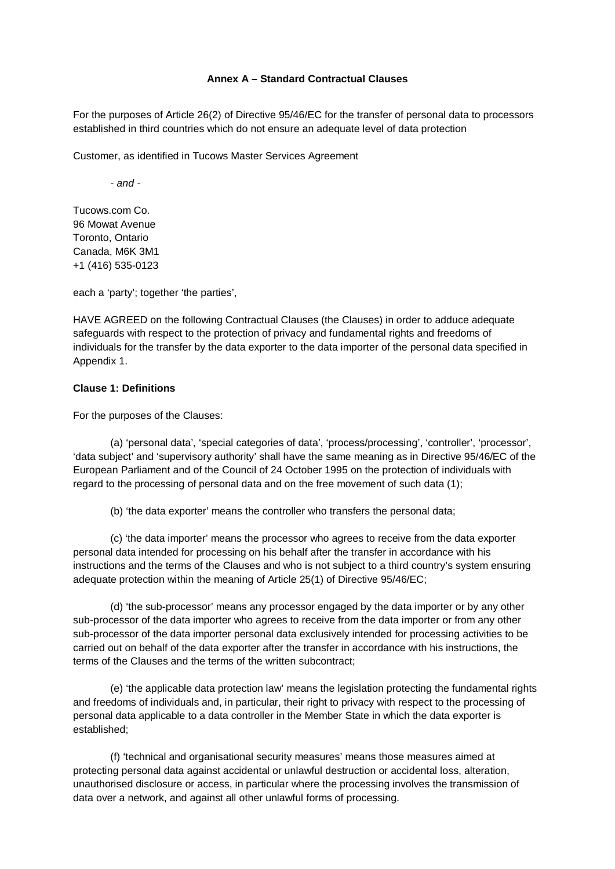### **Annex A – Standard Contractual Clauses**

For the purposes of Article 26(2) of Directive 95/46/EC for the transfer of personal data to processors established in third countries which do not ensure an adequate level of data protection

Customer, as identified in Tucows Master Services Agreement

*- and -*

Tucows.com Co. 96 Mowat Avenue Toronto, Ontario Canada, M6K 3M1 +1 (416) 535-0123

each a 'party'; together 'the parties',

HAVE AGREED on the following Contractual Clauses (the Clauses) in order to adduce adequate safeguards with respect to the protection of privacy and fundamental rights and freedoms of individuals for the transfer by the data exporter to the data importer of the personal data specified in Appendix 1.

#### **Clause 1: Definitions**

For the purposes of the Clauses:

(a) 'personal data', 'special categories of data', 'process/processing', 'controller', 'processor', 'data subject' and 'supervisory authority' shall have the same meaning as in Directive 95/46/EC of the European Parliament and of the Council of 24 October 1995 on the protection of individuals with regard to the processing of personal data and on the free movement of such data (1);

(b) 'the data exporter' means the controller who transfers the personal data;

(c) 'the data importer' means the processor who agrees to receive from the data exporter personal data intended for processing on his behalf after the transfer in accordance with his instructions and the terms of the Clauses and who is not subject to a third country's system ensuring adequate protection within the meaning of Article 25(1) of Directive 95/46/EC;

(d) 'the sub-processor' means any processor engaged by the data importer or by any other sub-processor of the data importer who agrees to receive from the data importer or from any other sub-processor of the data importer personal data exclusively intended for processing activities to be carried out on behalf of the data exporter after the transfer in accordance with his instructions, the terms of the Clauses and the terms of the written subcontract;

(e) 'the applicable data protection law' means the legislation protecting the fundamental rights and freedoms of individuals and, in particular, their right to privacy with respect to the processing of personal data applicable to a data controller in the Member State in which the data exporter is established;

(f) 'technical and organisational security measures' means those measures aimed at protecting personal data against accidental or unlawful destruction or accidental loss, alteration, unauthorised disclosure or access, in particular where the processing involves the transmission of data over a network, and against all other unlawful forms of processing.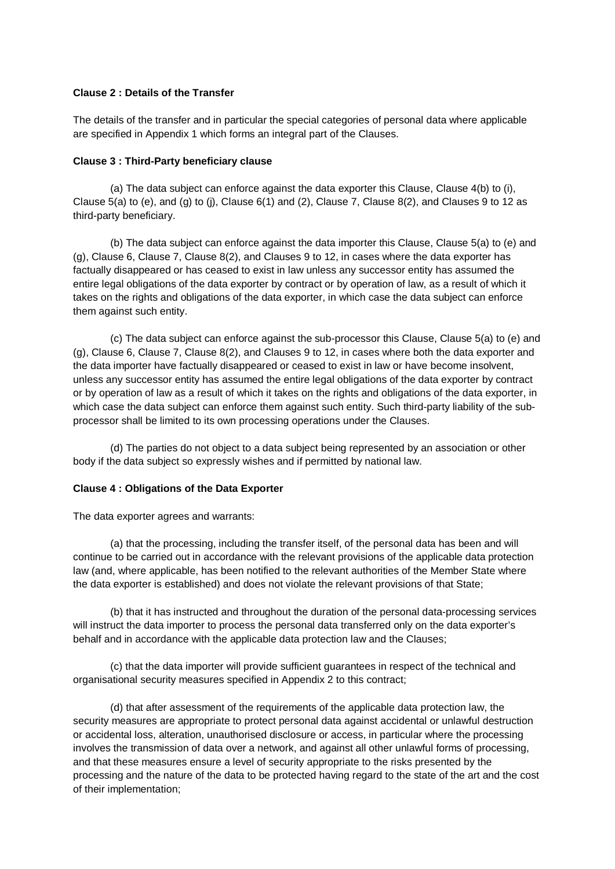### **Clause 2 : Details of the Transfer**

The details of the transfer and in particular the special categories of personal data where applicable are specified in Appendix 1 which forms an integral part of the Clauses.

#### **Clause 3 : Third-Party beneficiary clause**

(a) The data subject can enforce against the data exporter this Clause, Clause 4(b) to (i), Clause 5(a) to (e), and (g) to (j), Clause  $6(1)$  and (2), Clause 7, Clause 8(2), and Clauses 9 to 12 as third-party beneficiary.

(b) The data subject can enforce against the data importer this Clause, Clause 5(a) to (e) and (g), Clause 6, Clause 7, Clause 8(2), and Clauses 9 to 12, in cases where the data exporter has factually disappeared or has ceased to exist in law unless any successor entity has assumed the entire legal obligations of the data exporter by contract or by operation of law, as a result of which it takes on the rights and obligations of the data exporter, in which case the data subject can enforce them against such entity.

(c) The data subject can enforce against the sub-processor this Clause, Clause 5(a) to (e) and (g), Clause 6, Clause 7, Clause 8(2), and Clauses 9 to 12, in cases where both the data exporter and the data importer have factually disappeared or ceased to exist in law or have become insolvent, unless any successor entity has assumed the entire legal obligations of the data exporter by contract or by operation of law as a result of which it takes on the rights and obligations of the data exporter, in which case the data subject can enforce them against such entity. Such third-party liability of the subprocessor shall be limited to its own processing operations under the Clauses.

(d) The parties do not object to a data subject being represented by an association or other body if the data subject so expressly wishes and if permitted by national law.

#### **Clause 4 : Obligations of the Data Exporter**

The data exporter agrees and warrants:

(a) that the processing, including the transfer itself, of the personal data has been and will continue to be carried out in accordance with the relevant provisions of the applicable data protection law (and, where applicable, has been notified to the relevant authorities of the Member State where the data exporter is established) and does not violate the relevant provisions of that State;

(b) that it has instructed and throughout the duration of the personal data-processing services will instruct the data importer to process the personal data transferred only on the data exporter's behalf and in accordance with the applicable data protection law and the Clauses;

(c) that the data importer will provide sufficient guarantees in respect of the technical and organisational security measures specified in Appendix 2 to this contract;

(d) that after assessment of the requirements of the applicable data protection law, the security measures are appropriate to protect personal data against accidental or unlawful destruction or accidental loss, alteration, unauthorised disclosure or access, in particular where the processing involves the transmission of data over a network, and against all other unlawful forms of processing, and that these measures ensure a level of security appropriate to the risks presented by the processing and the nature of the data to be protected having regard to the state of the art and the cost of their implementation;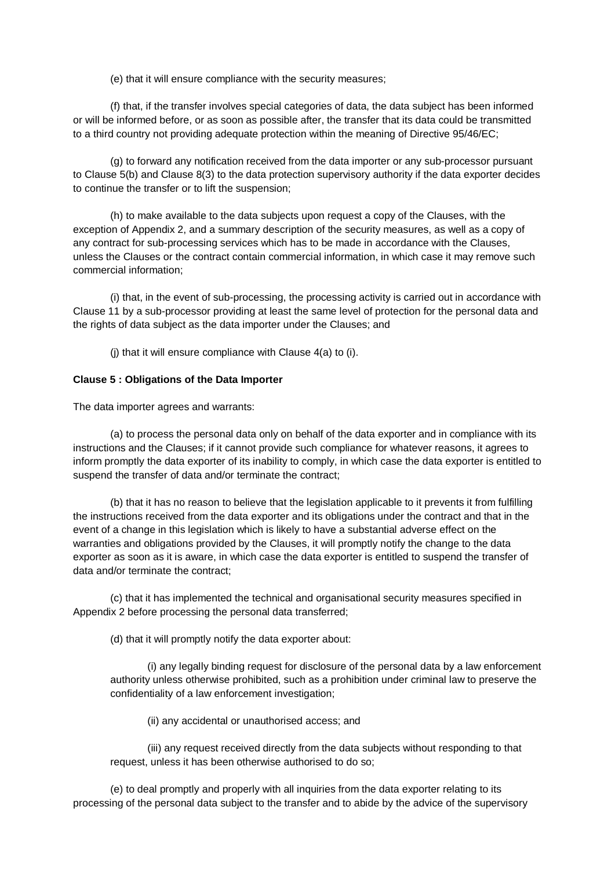(e) that it will ensure compliance with the security measures;

(f) that, if the transfer involves special categories of data, the data subject has been informed or will be informed before, or as soon as possible after, the transfer that its data could be transmitted to a third country not providing adequate protection within the meaning of Directive 95/46/EC;

(g) to forward any notification received from the data importer or any sub-processor pursuant to Clause 5(b) and Clause 8(3) to the data protection supervisory authority if the data exporter decides to continue the transfer or to lift the suspension;

(h) to make available to the data subjects upon request a copy of the Clauses, with the exception of Appendix 2, and a summary description of the security measures, as well as a copy of any contract for sub-processing services which has to be made in accordance with the Clauses, unless the Clauses or the contract contain commercial information, in which case it may remove such commercial information;

(i) that, in the event of sub-processing, the processing activity is carried out in accordance with Clause 11 by a sub-processor providing at least the same level of protection for the personal data and the rights of data subject as the data importer under the Clauses; and

(j) that it will ensure compliance with Clause 4(a) to (i).

### **Clause 5 : Obligations of the Data Importer**

The data importer agrees and warrants:

(a) to process the personal data only on behalf of the data exporter and in compliance with its instructions and the Clauses; if it cannot provide such compliance for whatever reasons, it agrees to inform promptly the data exporter of its inability to comply, in which case the data exporter is entitled to suspend the transfer of data and/or terminate the contract;

(b) that it has no reason to believe that the legislation applicable to it prevents it from fulfilling the instructions received from the data exporter and its obligations under the contract and that in the event of a change in this legislation which is likely to have a substantial adverse effect on the warranties and obligations provided by the Clauses, it will promptly notify the change to the data exporter as soon as it is aware, in which case the data exporter is entitled to suspend the transfer of data and/or terminate the contract;

(c) that it has implemented the technical and organisational security measures specified in Appendix 2 before processing the personal data transferred;

(d) that it will promptly notify the data exporter about:

(i) any legally binding request for disclosure of the personal data by a law enforcement authority unless otherwise prohibited, such as a prohibition under criminal law to preserve the confidentiality of a law enforcement investigation;

(ii) any accidental or unauthorised access; and

(iii) any request received directly from the data subjects without responding to that request, unless it has been otherwise authorised to do so;

(e) to deal promptly and properly with all inquiries from the data exporter relating to its processing of the personal data subject to the transfer and to abide by the advice of the supervisory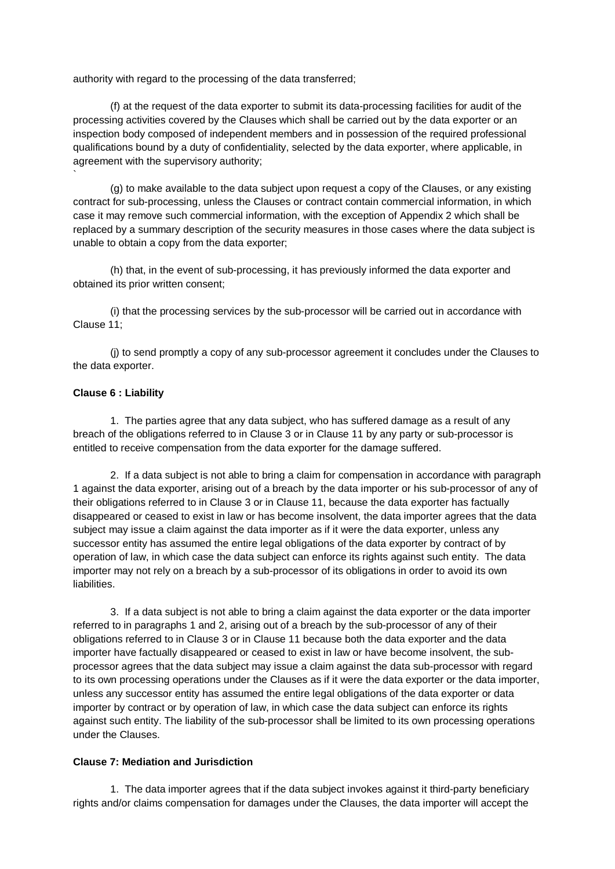authority with regard to the processing of the data transferred;

(f) at the request of the data exporter to submit its data-processing facilities for audit of the processing activities covered by the Clauses which shall be carried out by the data exporter or an inspection body composed of independent members and in possession of the required professional qualifications bound by a duty of confidentiality, selected by the data exporter, where applicable, in agreement with the supervisory authority;

(g) to make available to the data subject upon request a copy of the Clauses, or any existing contract for sub-processing, unless the Clauses or contract contain commercial information, in which case it may remove such commercial information, with the exception of Appendix 2 which shall be replaced by a summary description of the security measures in those cases where the data subject is unable to obtain a copy from the data exporter;

(h) that, in the event of sub-processing, it has previously informed the data exporter and obtained its prior written consent;

(i) that the processing services by the sub-processor will be carried out in accordance with Clause 11;

(j) to send promptly a copy of any sub-processor agreement it concludes under the Clauses to the data exporter.

### **Clause 6 : Liability**

`

1. The parties agree that any data subject, who has suffered damage as a result of any breach of the obligations referred to in Clause 3 or in Clause 11 by any party or sub-processor is entitled to receive compensation from the data exporter for the damage suffered.

2. If a data subject is not able to bring a claim for compensation in accordance with paragraph 1 against the data exporter, arising out of a breach by the data importer or his sub-processor of any of their obligations referred to in Clause 3 or in Clause 11, because the data exporter has factually disappeared or ceased to exist in law or has become insolvent, the data importer agrees that the data subject may issue a claim against the data importer as if it were the data exporter, unless any successor entity has assumed the entire legal obligations of the data exporter by contract of by operation of law, in which case the data subject can enforce its rights against such entity. The data importer may not rely on a breach by a sub-processor of its obligations in order to avoid its own liabilities.

3. If a data subject is not able to bring a claim against the data exporter or the data importer referred to in paragraphs 1 and 2, arising out of a breach by the sub-processor of any of their obligations referred to in Clause 3 or in Clause 11 because both the data exporter and the data importer have factually disappeared or ceased to exist in law or have become insolvent, the subprocessor agrees that the data subject may issue a claim against the data sub-processor with regard to its own processing operations under the Clauses as if it were the data exporter or the data importer, unless any successor entity has assumed the entire legal obligations of the data exporter or data importer by contract or by operation of law, in which case the data subject can enforce its rights against such entity. The liability of the sub-processor shall be limited to its own processing operations under the Clauses.

### **Clause 7: Mediation and Jurisdiction**

1. The data importer agrees that if the data subject invokes against it third-party beneficiary rights and/or claims compensation for damages under the Clauses, the data importer will accept the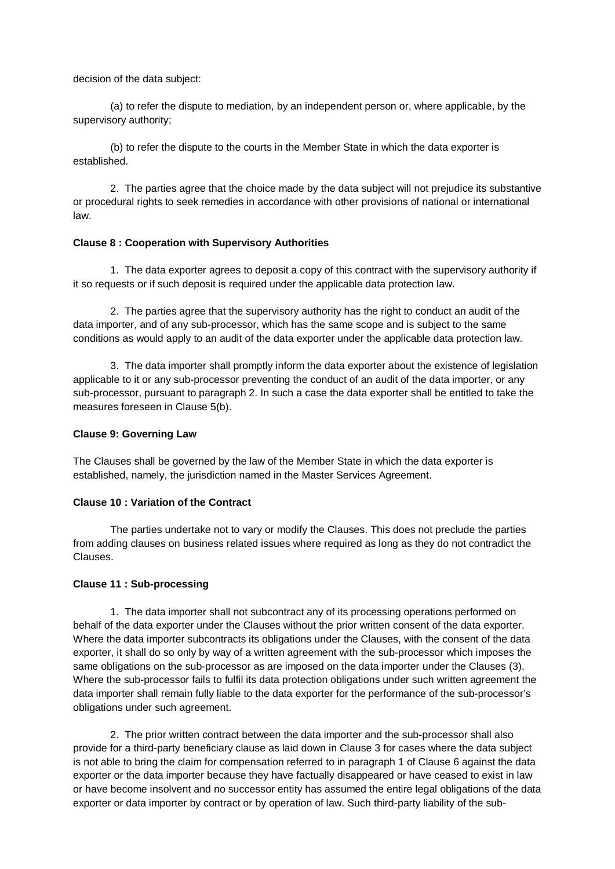decision of the data subject:

(a) to refer the dispute to mediation, by an independent person or, where applicable, by the supervisory authority;

(b) to refer the dispute to the courts in the Member State in which the data exporter is established.

2. The parties agree that the choice made by the data subject will not prejudice its substantive or procedural rights to seek remedies in accordance with other provisions of national or international law.

### **Clause 8 : Cooperation with Supervisory Authorities**

1. The data exporter agrees to deposit a copy of this contract with the supervisory authority if it so requests or if such deposit is required under the applicable data protection law.

2. The parties agree that the supervisory authority has the right to conduct an audit of the data importer, and of any sub-processor, which has the same scope and is subject to the same conditions as would apply to an audit of the data exporter under the applicable data protection law.

3. The data importer shall promptly inform the data exporter about the existence of legislation applicable to it or any sub-processor preventing the conduct of an audit of the data importer, or any sub-processor, pursuant to paragraph 2. In such a case the data exporter shall be entitled to take the measures foreseen in Clause 5(b).

#### **Clause 9: Governing Law**

The Clauses shall be governed by the law of the Member State in which the data exporter is established, namely, the jurisdiction named in the Master Services Agreement.

### **Clause 10 : Variation of the Contract**

The parties undertake not to vary or modify the Clauses. This does not preclude the parties from adding clauses on business related issues where required as long as they do not contradict the Clauses.

#### **Clause 11 : Sub-processing**

1. The data importer shall not subcontract any of its processing operations performed on behalf of the data exporter under the Clauses without the prior written consent of the data exporter. Where the data importer subcontracts its obligations under the Clauses, with the consent of the data exporter, it shall do so only by way of a written agreement with the sub-processor which imposes the same obligations on the sub-processor as are imposed on the data importer under the Clauses (3). Where the sub-processor fails to fulfil its data protection obligations under such written agreement the data importer shall remain fully liable to the data exporter for the performance of the sub-processor's obligations under such agreement.

2. The prior written contract between the data importer and the sub-processor shall also provide for a third-party beneficiary clause as laid down in Clause 3 for cases where the data subject is not able to bring the claim for compensation referred to in paragraph 1 of Clause 6 against the data exporter or the data importer because they have factually disappeared or have ceased to exist in law or have become insolvent and no successor entity has assumed the entire legal obligations of the data exporter or data importer by contract or by operation of law. Such third-party liability of the sub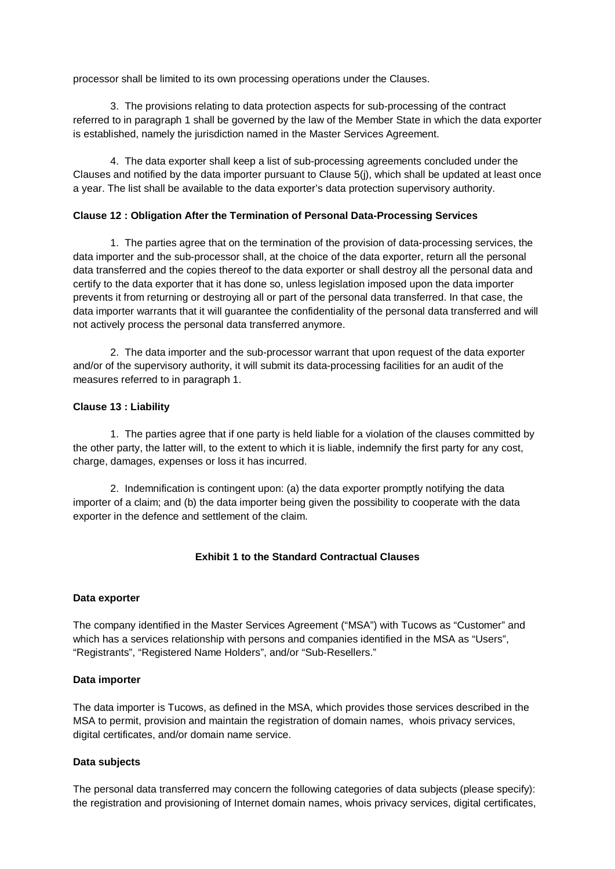processor shall be limited to its own processing operations under the Clauses.

3. The provisions relating to data protection aspects for sub-processing of the contract referred to in paragraph 1 shall be governed by the law of the Member State in which the data exporter is established, namely the jurisdiction named in the Master Services Agreement.

4. The data exporter shall keep a list of sub-processing agreements concluded under the Clauses and notified by the data importer pursuant to Clause 5(j), which shall be updated at least once a year. The list shall be available to the data exporter's data protection supervisory authority.

### **Clause 12 : Obligation After the Termination of Personal Data-Processing Services**

1. The parties agree that on the termination of the provision of data-processing services, the data importer and the sub-processor shall, at the choice of the data exporter, return all the personal data transferred and the copies thereof to the data exporter or shall destroy all the personal data and certify to the data exporter that it has done so, unless legislation imposed upon the data importer prevents it from returning or destroying all or part of the personal data transferred. In that case, the data importer warrants that it will guarantee the confidentiality of the personal data transferred and will not actively process the personal data transferred anymore.

2. The data importer and the sub-processor warrant that upon request of the data exporter and/or of the supervisory authority, it will submit its data-processing facilities for an audit of the measures referred to in paragraph 1.

### **Clause 13 : Liability**

1. The parties agree that if one party is held liable for a violation of the clauses committed by the other party, the latter will, to the extent to which it is liable, indemnify the first party for any cost, charge, damages, expenses or loss it has incurred.

2. Indemnification is contingent upon: (a) the data exporter promptly notifying the data importer of a claim; and (b) the data importer being given the possibility to cooperate with the data exporter in the defence and settlement of the claim.

# **Exhibit 1 to the Standard Contractual Clauses**

#### **Data exporter**

The company identified in the Master Services Agreement ("MSA") with Tucows as "Customer" and which has a services relationship with persons and companies identified in the MSA as "Users", "Registrants", "Registered Name Holders", and/or "Sub-Resellers."

#### **Data importer**

The data importer is Tucows, as defined in the MSA, which provides those services described in the MSA to permit, provision and maintain the registration of domain names, whois privacy services, digital certificates, and/or domain name service.

#### **Data subjects**

The personal data transferred may concern the following categories of data subjects (please specify): the registration and provisioning of Internet domain names, whois privacy services, digital certificates,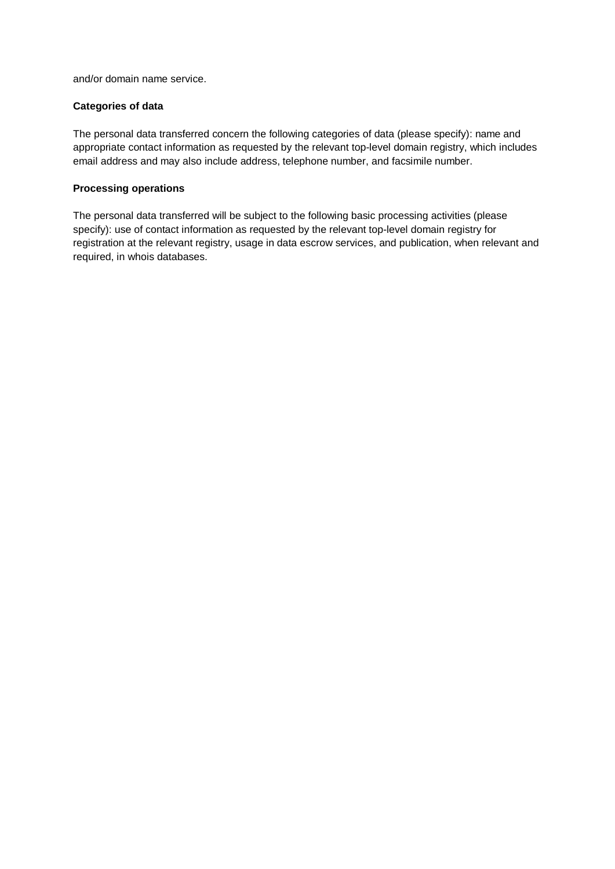and/or domain name service.

# **Categories of data**

The personal data transferred concern the following categories of data (please specify): name and appropriate contact information as requested by the relevant top-level domain registry, which includes email address and may also include address, telephone number, and facsimile number.

### **Processing operations**

The personal data transferred will be subject to the following basic processing activities (please specify): use of contact information as requested by the relevant top-level domain registry for registration at the relevant registry, usage in data escrow services, and publication, when relevant and required, in whois databases.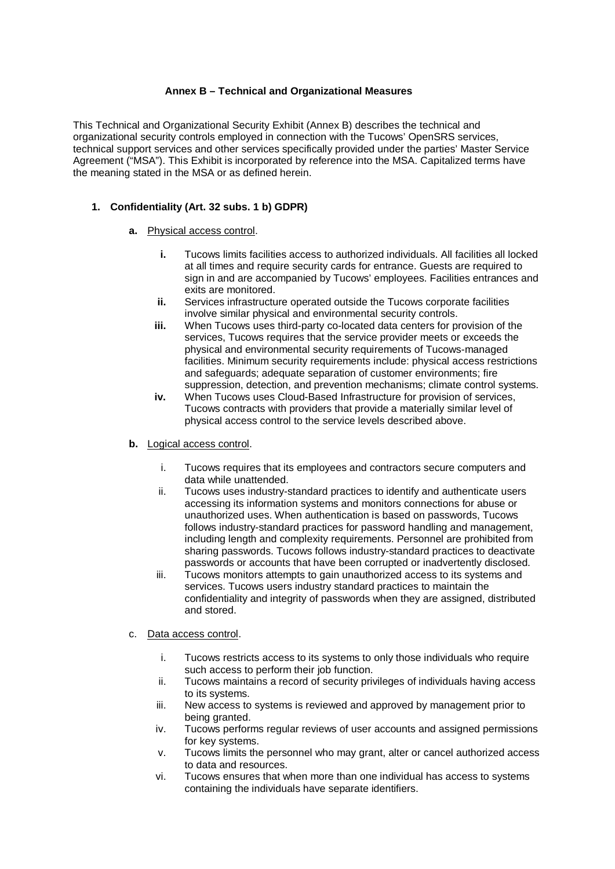# **Annex B – Technical and Organizational Measures**

This Technical and Organizational Security Exhibit (Annex B) describes the technical and organizational security controls employed in connection with the Tucows' OpenSRS services, technical support services and other services specifically provided under the parties' Master Service Agreement ("MSA"). This Exhibit is incorporated by reference into the MSA. Capitalized terms have the meaning stated in the MSA or as defined herein.

# **1. Confidentiality (Art. 32 subs. 1 b) GDPR)**

### **a.** Physical access control.

- **i.** Tucows limits facilities access to authorized individuals. All facilities all locked at all times and require security cards for entrance. Guests are required to sign in and are accompanied by Tucows' employees. Facilities entrances and exits are monitored.
- **ii.** Services infrastructure operated outside the Tucows corporate facilities involve similar physical and environmental security controls.
- **iii.** When Tucows uses third-party co-located data centers for provision of the services, Tucows requires that the service provider meets or exceeds the physical and environmental security requirements of Tucows-managed facilities. Minimum security requirements include: physical access restrictions and safeguards; adequate separation of customer environments; fire suppression, detection, and prevention mechanisms; climate control systems.
- **iv.** When Tucows uses Cloud-Based Infrastructure for provision of services, Tucows contracts with providers that provide a materially similar level of physical access control to the service levels described above.

# **b.** Logical access control.

- i. Tucows requires that its employees and contractors secure computers and data while unattended.
- ii. Tucows uses industry-standard practices to identify and authenticate users accessing its information systems and monitors connections for abuse or unauthorized uses. When authentication is based on passwords, Tucows follows industry-standard practices for password handling and management, including length and complexity requirements. Personnel are prohibited from sharing passwords. Tucows follows industry-standard practices to deactivate passwords or accounts that have been corrupted or inadvertently disclosed.
- iii. Tucows monitors attempts to gain unauthorized access to its systems and services. Tucows users industry standard practices to maintain the confidentiality and integrity of passwords when they are assigned, distributed and stored.

#### c. Data access control.

- i. Tucows restricts access to its systems to only those individuals who require such access to perform their job function.
- ii. Tucows maintains a record of security privileges of individuals having access to its systems.
- iii. New access to systems is reviewed and approved by management prior to being granted.
- iv. Tucows performs regular reviews of user accounts and assigned permissions for key systems.
- v. Tucows limits the personnel who may grant, alter or cancel authorized access to data and resources.
- vi. Tucows ensures that when more than one individual has access to systems containing the individuals have separate identifiers.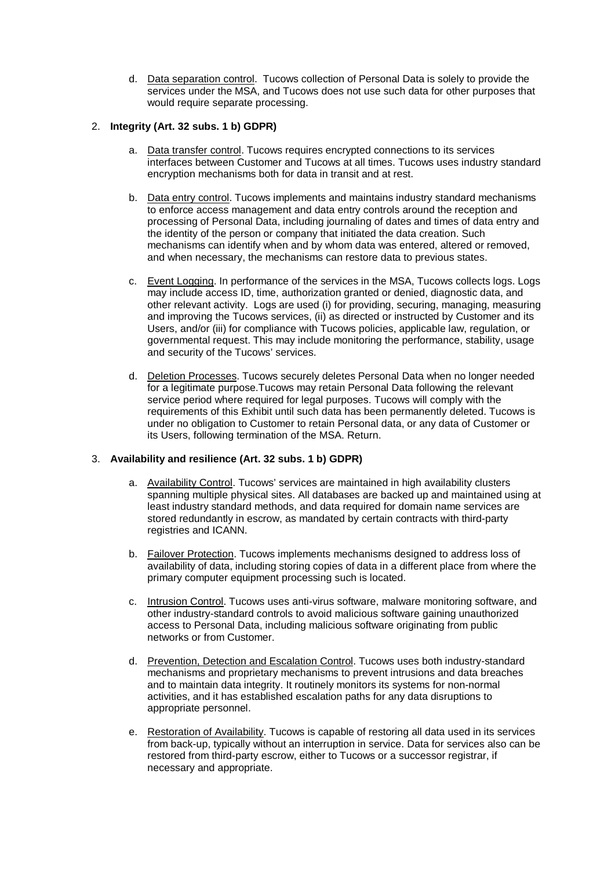d. Data separation control. Tucows collection of Personal Data is solely to provide the services under the MSA, and Tucows does not use such data for other purposes that would require separate processing.

# 2. **Integrity (Art. 32 subs. 1 b) GDPR)**

- a. Data transfer control. Tucows requires encrypted connections to its services interfaces between Customer and Tucows at all times. Tucows uses industry standard encryption mechanisms both for data in transit and at rest.
- b. Data entry control. Tucows implements and maintains industry standard mechanisms to enforce access management and data entry controls around the reception and processing of Personal Data, including journaling of dates and times of data entry and the identity of the person or company that initiated the data creation. Such mechanisms can identify when and by whom data was entered, altered or removed, and when necessary, the mechanisms can restore data to previous states.
- c. Event Logging. In performance of the services in the MSA, Tucows collects logs. Logs may include access ID, time, authorization granted or denied, diagnostic data, and other relevant activity. Logs are used (i) for providing, securing, managing, measuring and improving the Tucows services, (ii) as directed or instructed by Customer and its Users, and/or (iii) for compliance with Tucows policies, applicable law, regulation, or governmental request. This may include monitoring the performance, stability, usage and security of the Tucows' services.
- d. Deletion Processes. Tucows securely deletes Personal Data when no longer needed for a legitimate purpose.Tucows may retain Personal Data following the relevant service period where required for legal purposes. Tucows will comply with the requirements of this Exhibit until such data has been permanently deleted. Tucows is under no obligation to Customer to retain Personal data, or any data of Customer or its Users, following termination of the MSA. Return.

# 3. **Availability and resilience (Art. 32 subs. 1 b) GDPR)**

- a. Availability Control. Tucows' services are maintained in high availability clusters spanning multiple physical sites. All databases are backed up and maintained using at least industry standard methods, and data required for domain name services are stored redundantly in escrow, as mandated by certain contracts with third-party registries and ICANN.
- b. Failover Protection. Tucows implements mechanisms designed to address loss of availability of data, including storing copies of data in a different place from where the primary computer equipment processing such is located.
- c. Intrusion Control. Tucows uses anti-virus software, malware monitoring software, and other industry-standard controls to avoid malicious software gaining unauthorized access to Personal Data, including malicious software originating from public networks or from Customer.
- d. Prevention, Detection and Escalation Control. Tucows uses both industry-standard mechanisms and proprietary mechanisms to prevent intrusions and data breaches and to maintain data integrity. It routinely monitors its systems for non-normal activities, and it has established escalation paths for any data disruptions to appropriate personnel.
- e. Restoration of Availability. Tucows is capable of restoring all data used in its services from back-up, typically without an interruption in service. Data for services also can be restored from third-party escrow, either to Tucows or a successor registrar, if necessary and appropriate.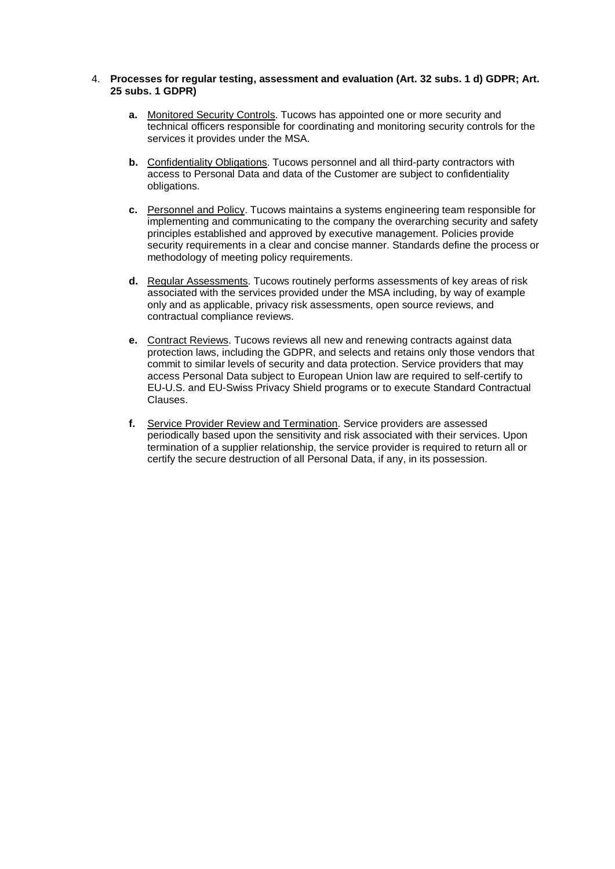#### 4. **Processes for regular testing, assessment and evaluation (Art. 32 subs. 1 d) GDPR; Art. 25 subs. 1 GDPR)**

- **a.** Monitored Security Controls. Tucows has appointed one or more security and technical officers responsible for coordinating and monitoring security controls for the services it provides under the MSA.
- **b.** Confidentiality Obligations. Tucows personnel and all third-party contractors with access to Personal Data and data of the Customer are subject to confidentiality obligations.
- **c.** Personnel and Policy. Tucows maintains a systems engineering team responsible for implementing and communicating to the company the overarching security and safety principles established and approved by executive management. Policies provide security requirements in a clear and concise manner. Standards define the process or methodology of meeting policy requirements.
- **d.** Regular Assessments. Tucows routinely performs assessments of key areas of risk associated with the services provided under the MSA including, by way of example only and as applicable, privacy risk assessments, open source reviews, and contractual compliance reviews.
- **e.** Contract Reviews. Tucows reviews all new and renewing contracts against data protection laws, including the GDPR, and selects and retains only those vendors that commit to similar levels of security and data protection. Service providers that may access Personal Data subject to European Union law are required to self-certify to EU-U.S. and EU-Swiss Privacy Shield programs or to execute Standard Contractual Clauses.
- **f.** Service Provider Review and Termination. Service providers are assessed periodically based upon the sensitivity and risk associated with their services. Upon termination of a supplier relationship, the service provider is required to return all or certify the secure destruction of all Personal Data, if any, in its possession.